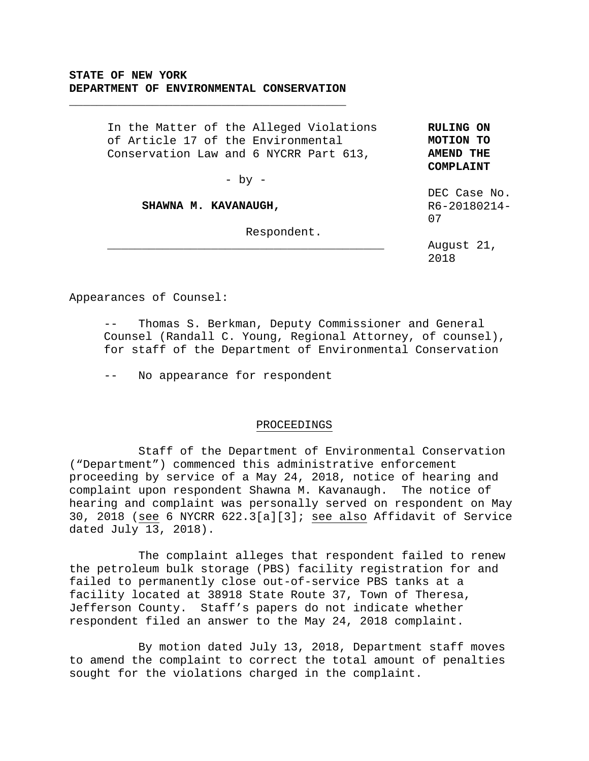**\_\_\_\_\_\_\_\_\_\_\_\_\_\_\_\_\_\_\_\_\_\_\_\_\_\_\_\_\_\_\_\_\_\_\_\_\_\_\_\_** 

In the Matter of the Alleged Violations of Article 17 of the Environmental Conservation Law and 6 NYCRR Part 613,

**RULING ON MOTION TO AMEND THE COMPLAINT** 

 $-$  by  $-$ 

**\_\_\_\_\_\_\_\_\_\_\_\_\_\_\_\_\_\_\_\_\_\_\_\_\_\_\_\_\_\_\_\_\_\_\_\_\_\_\_\_**

## **SHAWNA M. KAVANAUGH,**

Respondent.

DEC Case No. R6-20180214- 07

August 21, 2018

Appearances of Counsel:

Thomas S. Berkman, Deputy Commissioner and General Counsel (Randall C. Young, Regional Attorney, of counsel), for staff of the Department of Environmental Conservation

-- No appearance for respondent

## PROCEEDINGS

 Staff of the Department of Environmental Conservation ("Department") commenced this administrative enforcement proceeding by service of a May 24, 2018, notice of hearing and complaint upon respondent Shawna M. Kavanaugh. The notice of hearing and complaint was personally served on respondent on May 30, 2018 (see 6 NYCRR 622.3[a][3]; see also Affidavit of Service dated July 13, 2018).

 The complaint alleges that respondent failed to renew the petroleum bulk storage (PBS) facility registration for and failed to permanently close out-of-service PBS tanks at a facility located at 38918 State Route 37, Town of Theresa, Jefferson County. Staff's papers do not indicate whether respondent filed an answer to the May 24, 2018 complaint.

 By motion dated July 13, 2018, Department staff moves to amend the complaint to correct the total amount of penalties sought for the violations charged in the complaint.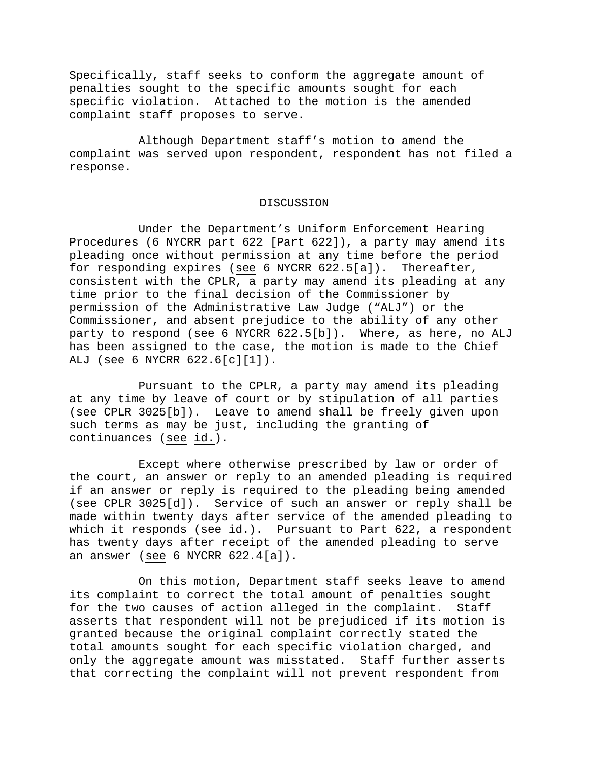Specifically, staff seeks to conform the aggregate amount of penalties sought to the specific amounts sought for each specific violation. Attached to the motion is the amended complaint staff proposes to serve.

 Although Department staff's motion to amend the complaint was served upon respondent, respondent has not filed a response.

## DISCUSSION

 Under the Department's Uniform Enforcement Hearing Procedures (6 NYCRR part 622 [Part 622]), a party may amend its pleading once without permission at any time before the period for responding expires (see 6 NYCRR 622.5[a]). Thereafter, consistent with the CPLR, a party may amend its pleading at any time prior to the final decision of the Commissioner by permission of the Administrative Law Judge ("ALJ") or the Commissioner, and absent prejudice to the ability of any other party to respond (see 6 NYCRR 622.5[b]). Where, as here, no ALJ has been assigned to the case, the motion is made to the Chief ALJ (see 6 NYCRR 622.6[c][1]).

 Pursuant to the CPLR, a party may amend its pleading at any time by leave of court or by stipulation of all parties (see CPLR 3025[b]). Leave to amend shall be freely given upon such terms as may be just, including the granting of continuances (see id.).

 Except where otherwise prescribed by law or order of the court, an answer or reply to an amended pleading is required if an answer or reply is required to the pleading being amended (see CPLR 3025[d]). Service of such an answer or reply shall be made within twenty days after service of the amended pleading to which it responds (see id.). Pursuant to Part 622, a respondent has twenty days after receipt of the amended pleading to serve an answer (see 6 NYCRR 622.4[a]).

 On this motion, Department staff seeks leave to amend its complaint to correct the total amount of penalties sought for the two causes of action alleged in the complaint. Staff asserts that respondent will not be prejudiced if its motion is granted because the original complaint correctly stated the total amounts sought for each specific violation charged, and only the aggregate amount was misstated. Staff further asserts that correcting the complaint will not prevent respondent from